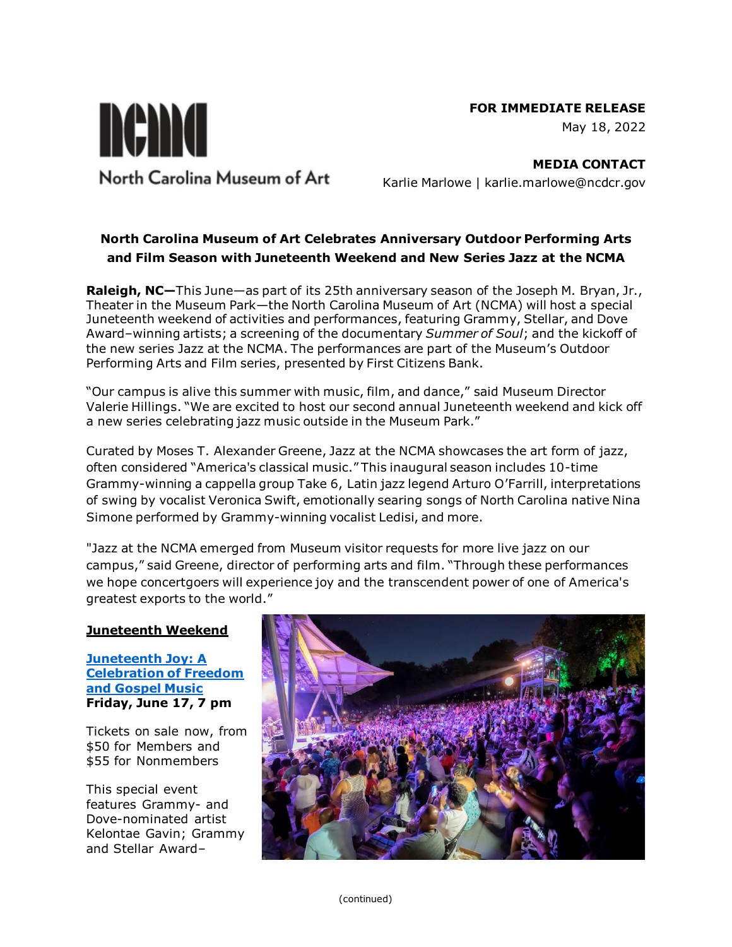#### **FOR IMMEDIATE RELEASE**



nema North Carolina Museum of Art

**MEDIA CONTACT** Karlie Marlowe | karlie.marlowe@ncdcr.gov

# **North Carolina Museum of Art Celebrates Anniversary Outdoor Performing Arts and Film Season with Juneteenth Weekend and New Series Jazz at the NCMA**

**Raleigh, NC—**This June—as part of its 25th anniversary season of the Joseph M. Bryan, Jr., Theater in the Museum Park—the North Carolina Museum of Art (NCMA) will host a special Juneteenth weekend of activities and performances, featuring Grammy, Stellar, and Dove Award–winning artists; a screening of the documentary *Summer of Soul*; and the kickoff of the new series Jazz at the NCMA. The performances are part of the Museum's Outdoor Performing Arts and Film series, presented by First Citizens Bank.

"Our campus is alive this summer with music, film, and dance," said Museum Director Valerie Hillings. "We are excited to host our second annual Juneteenth weekend and kick off a new series celebrating jazz music outside in the Museum Park."

Curated by Moses T. Alexander Greene, Jazz at the NCMA showcases the art form of jazz, often considered "America's classical music." This inaugural season includes 10-time Grammy-winning a cappella group Take 6, Latin jazz legend Arturo O'Farrill, interpretations of swing by vocalist Veronica Swift, emotionally searing songs of North Carolina native Nina Simone performed by Grammy-winning vocalist Ledisi, and more.

"Jazz at the NCMA emerged from Museum visitor requests for more live jazz on our campus," said Greene, director of performing arts and film. "Through these performances we hope concertgoers will experience joy and the transcendent power of one of America's greatest exports to the world."

## **Juneteenth Weekend**

**[Juneteenth Joy: A](https://ncartmuseum.org/events/juneteenth-joy-a-celebration-of-freedom-and-gospel-music/)  [Celebration of Freedom](https://ncartmuseum.org/events/juneteenth-joy-a-celebration-of-freedom-and-gospel-music/)  [and Gospel Music](https://ncartmuseum.org/events/juneteenth-joy-a-celebration-of-freedom-and-gospel-music/) Friday, June 17, 7 pm**

Tickets on sale now, from \$50 for Members and \$55 for Nonmembers

This special event features Grammy- and Dove-nominated artist Kelontae Gavin; Grammy and Stellar Award–

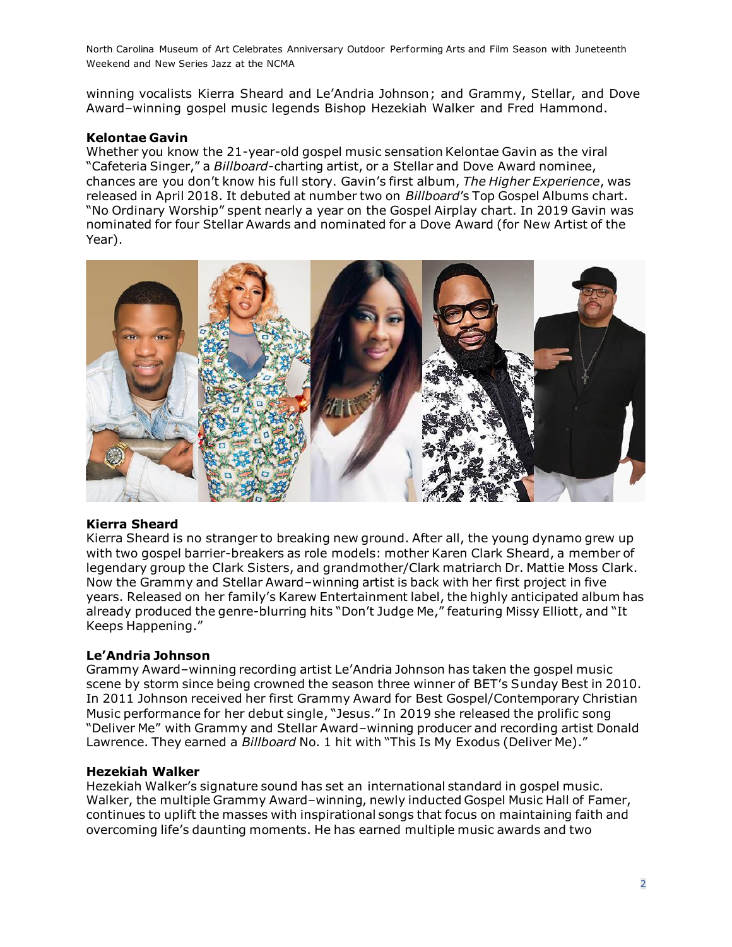winning vocalists Kierra Sheard and Le'Andria Johnson; and Grammy, Stellar, and Dove Award–winning gospel music legends Bishop Hezekiah Walker and Fred Hammond.

#### **Kelontae Gavin**

Whether you know the 21-year-old gospel music sensation Kelontae Gavin as the viral "Cafeteria Singer," a *Billboard*-charting artist, or a Stellar and Dove Award nominee, chances are you don't know his full story. Gavin's first album, *The Higher Experience*, was released in April 2018. It debuted at number two on *Billboard*'s Top Gospel Albums chart. "No Ordinary Worship" spent nearly a year on the Gospel Airplay chart. In 2019 Gavin was nominated for four Stellar Awards and nominated for a Dove Award (for New Artist of the Year).



## **Kierra Sheard**

Kierra Sheard is no stranger to breaking new ground. After all, the young dynamo grew up with two gospel barrier-breakers as role models: mother Karen Clark Sheard, a member of legendary group the Clark Sisters, and grandmother/Clark matriarch Dr. Mattie Moss Clark. Now the Grammy and Stellar Award–winning artist is back with her first project in five years. Released on her family's Karew Entertainment label, the highly anticipated album has already produced the genre-blurring hits "Don't Judge Me," featuring Missy Elliott, and "It Keeps Happening."

## **Le'Andria Johnson**

Grammy Award–winning recording artist Le'Andria Johnson has taken the gospel music scene by storm since being crowned the season three winner of BET's Sunday Best in 2010. In 2011 Johnson received her first Grammy Award for Best Gospel/Contemporary Christian Music performance for her debut single, "Jesus." In 2019 she released the prolific song "Deliver Me" with Grammy and Stellar Award–winning producer and recording artist Donald Lawrence. They earned a *Billboard* No. 1 hit with "This Is My Exodus (Deliver Me)."

## **Hezekiah Walker**

Hezekiah Walker's signature sound has set an international standard in gospel music. Walker, the multiple Grammy Award–winning, newly inducted Gospel Music Hall of Famer, continues to uplift the masses with inspirational songs that focus on maintaining faith and overcoming life's daunting moments. He has earned multiple music awards and two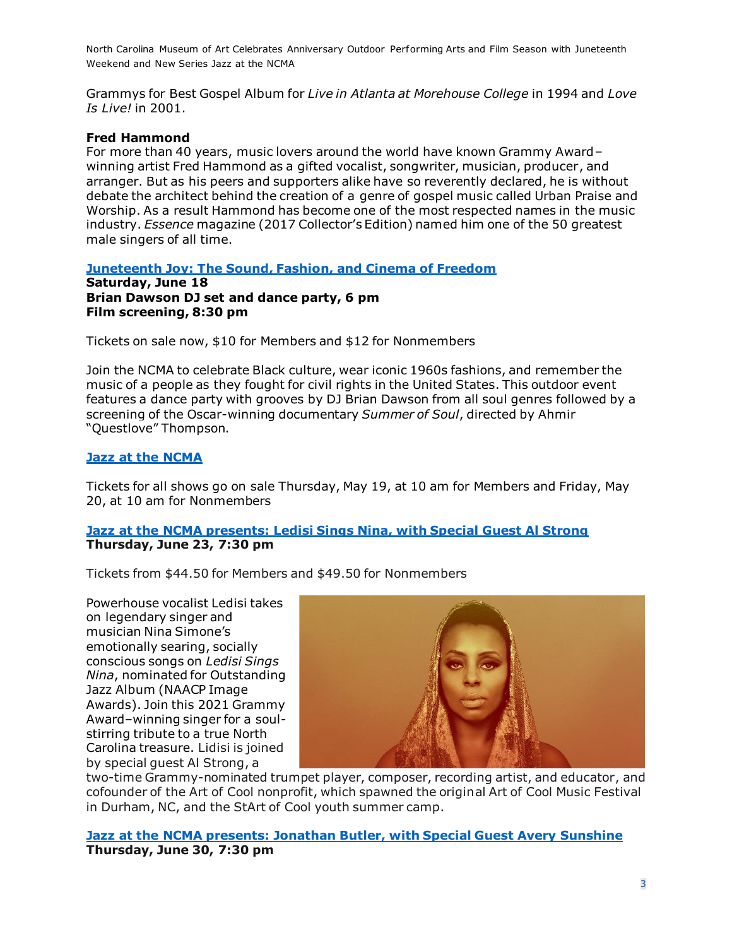Grammys for Best Gospel Album for *Live in Atlanta at Morehouse College* in 1994 and *Love Is Live!* in 2001.

#### **Fred Hammond**

For more than 40 years, music lovers around the world have known Grammy Award– winning artist Fred Hammond as a gifted vocalist, songwriter, musician, producer, and arranger. But as his peers and supporters alike have so reverently declared, he is without debate the architect behind the creation of a genre of gospel music called Urban Praise and Worship. As a result Hammond has become one of the most respected names in the music industry. *Essence* magazine (2017 Collector's Edition) named him one of the 50 greatest male singers of all time.

#### **[Juneteenth Joy: The Sound, Fashion, and Cinema of Freedom](https://ncartmuseum.org/events/juneteenth-joy-the-sound-fashion-and-cinema-of-freedom/?occurrence=2022-06-18)**

**Saturday, June 18 Brian Dawson DJ set and dance party, 6 pm Film screening, 8:30 pm**

Tickets on sale now, \$10 for Members and \$12 for Nonmembers

Join the NCMA to celebrate Black culture, wear iconic 1960s fashions, and remember the music of a people as they fought for civil rights in the United States. This outdoor event features a dance party with grooves by DJ Brian Dawson from all soul genres followed by a screening of the Oscar-winning documentary *Summer of Soul*, directed by Ahmir "Questlove" Thompson.

#### **[Jazz at the NCMA](https://ncartmuseum.org/2022-jazz-at-the-ncma/)**

Tickets for all shows go on sale Thursday, May 19, at 10 am for Members and Friday, May 20, at 10 am for Nonmembers

#### **Jazz at the NCMA presents: Ledisi [Sings Nina, with Special Guest Al Strong](https://ncartmuseum.org/events/jazz-at-the-ncma-nina-and-me-ledisi-with-special-guest-al-strong/?occurrence=2022-06-23) Thursday, June 23, 7:30 pm**

Tickets from \$44.50 for Members and \$49.50 for Nonmembers

Powerhouse vocalist Ledisi takes on legendary singer and musician Nina Simone's emotionally searing, socially conscious songs on *Ledisi Sings Nina*, nominated for Outstanding Jazz Album (NAACP Image Awards). Join this 2021 Grammy Award–winning singer for a soulstirring tribute to a true North Carolina treasure. Lidisi is joined by special guest Al Strong, a



two-time Grammy-nominated trumpet player, composer, recording artist, and educator, and cofounder of the Art of Cool nonprofit, which spawned the original Art of Cool Music Festival in Durham, NC, and the StArt of Cool youth summer camp.

**[Jazz at the NCMA presents: Jonathan Butler, with Special Guest Avery Sunshine](https://ncartmuseum.org/events/jazz-at-the-ncma-jonathan-butler-with-special-guest-avery-sunshine/?occurrence=2022-06-30) Thursday, June 30, 7:30 pm**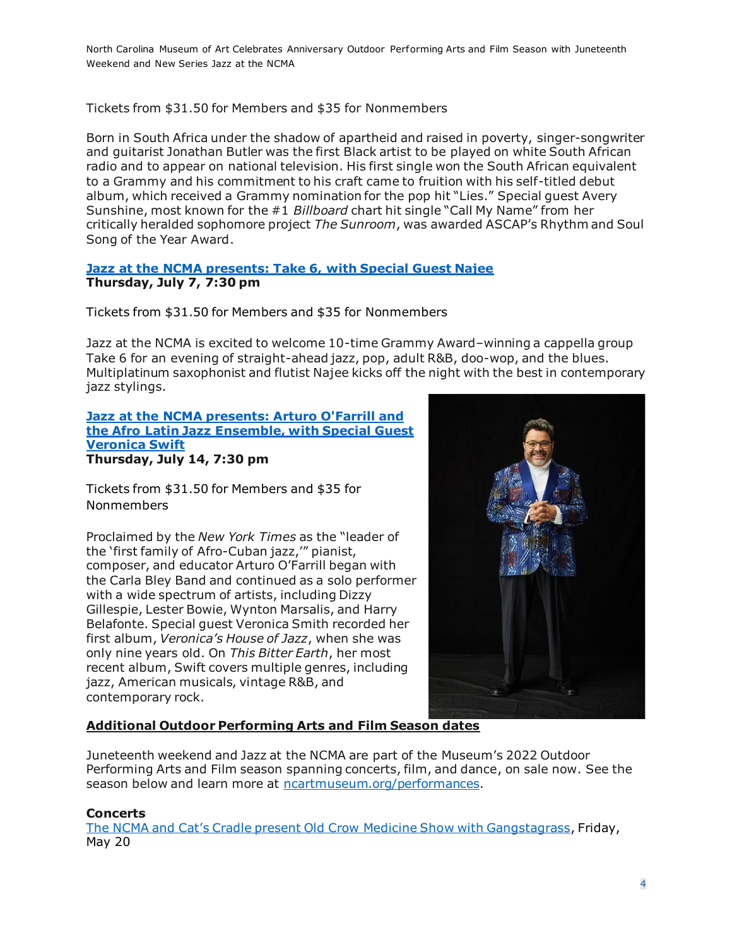Tickets from \$31.50 for Members and \$35 for Nonmembers

Born in South Africa under the shadow of apartheid and raised in poverty, singer-songwriter and guitarist Jonathan Butler was the first Black artist to be played on white South African radio and to appear on national television. His first single won the South African equivalent to a Grammy and his commitment to his craft came to fruition with his self-titled debut album, which received a Grammy nomination for the pop hit "Lies." Special guest Avery Sunshine, most known for the #1 *Billboard* chart hit single "Call My Name" from her critically heralded sophomore project *The Sunroom*, was awarded ASCAP's Rhythm and Soul Song of the Year Award.

#### **[Jazz at the NCMA presents: Take 6, with Special Guest Najee](https://ncartmuseum.org/events/jazz-at-the-ncma-presents-take-6-with-special-guest-najee/?occurrence=2022-07-07) Thursday, July 7, 7:30 pm**

Tickets from \$31.50 for Members and \$35 for Nonmembers

Jazz at the NCMA is excited to welcome 10-time Grammy Award–winning a cappella group Take 6 for an evening of straight-ahead jazz, pop, adult R&B, doo-wop, and the blues. Multiplatinum saxophonist and flutist Najee kicks off the night with the best in contemporary jazz stylings.

#### **[Jazz at the NCMA presents: Arturo O'Farrill and](https://ncartmuseum.org/events/jazz-at-the-ncma-presents-arturo-ofarrill-and-the-afro-latin-jazz-ensemble-with-special-guest-veronica-swift/?occurrence=2022-07-14)  [the Afro Latin Jazz Ensemble, with Special Guest](https://ncartmuseum.org/events/jazz-at-the-ncma-presents-arturo-ofarrill-and-the-afro-latin-jazz-ensemble-with-special-guest-veronica-swift/?occurrence=2022-07-14)  [Veronica Swift](https://ncartmuseum.org/events/jazz-at-the-ncma-presents-arturo-ofarrill-and-the-afro-latin-jazz-ensemble-with-special-guest-veronica-swift/?occurrence=2022-07-14) Thursday, July 14, 7:30 pm**

Tickets from \$31.50 for Members and \$35 for Nonmembers

Proclaimed by the *New York Times* as the "leader of the 'first family of Afro-Cuban jazz,'" pianist, composer, and educator Arturo O'Farrill began with the Carla Bley Band and continued as a solo performer with a wide spectrum of artists, including Dizzy Gillespie, Lester Bowie, Wynton Marsalis, and Harry Belafonte. Special guest Veronica Smith recorded her first album, *Veronica's House of Jazz*, when she was only nine years old. On *This Bitter Earth*, her most recent album, Swift covers multiple genres, including jazz, American musicals, vintage R&B, and contemporary rock.



## **Additional Outdoor Performing Arts and Film Season dates**

Juneteenth weekend and Jazz at the NCMA are part of the Museum's 2022 Outdoor Performing Arts and Film season spanning concerts, film, and dance, on sale now. See the season below and learn more at [ncartmuseum.org/performances.](https://ncartmuseum.org/events-and-exhibitions/programs/performances-and-concerts/)

#### **Concerts**

[The NCMA and Cat's Cradle present Old Crow Medicine Sho](https://ncartmuseum.org/events/the-ncma-and-cats-cradle-present-old-crow-medicine-show/)w with Gangstagrass, Friday, May 20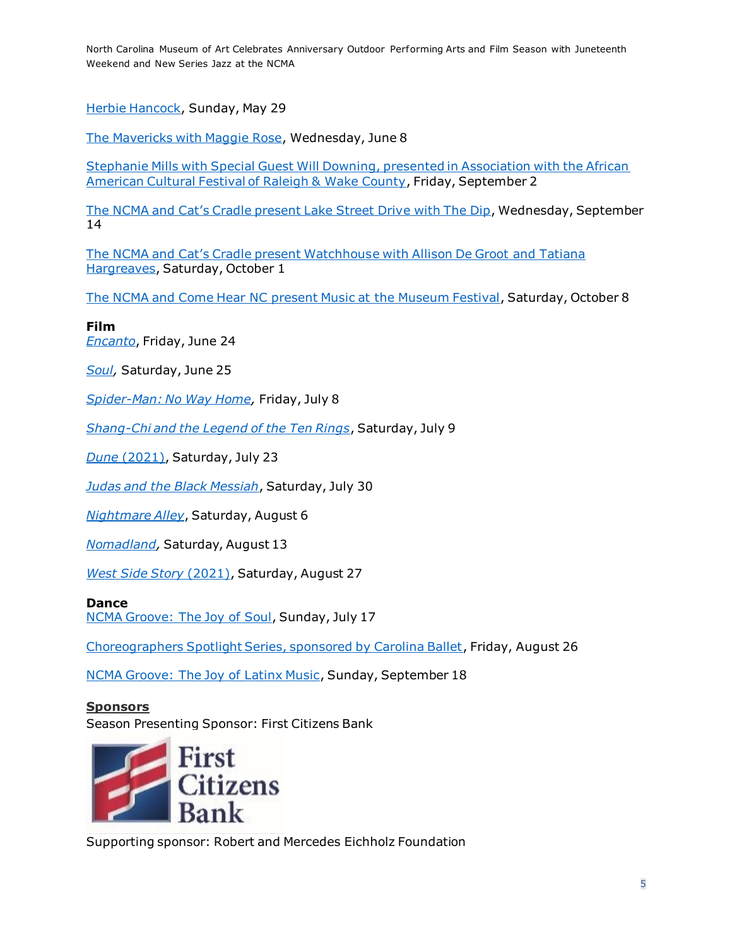[Herbie Hancock,](https://ncartmuseum.org/events/herbie-hancock/) Sunday, May 29

[The Mavericks with Maggie Rose,](https://ncartmuseum.org/events/the-mavericks-with-maggie-rose/) Wednesday, June 8

[Stephanie Mills with Special Guest Will Downing, presented in Association with the African](https://ncartmuseum.org/events/the-ncma-presents-in-association-with-the-african-american-cultural-festival-of-raleigh-and-wake-county-stephanie-mills-with-special-guest-will-downing/)  [American Cultural Festival of Raleigh & Wake County,](https://ncartmuseum.org/events/the-ncma-presents-in-association-with-the-african-american-cultural-festival-of-raleigh-and-wake-county-stephanie-mills-with-special-guest-will-downing/) Friday, September 2

[The NCMA and Cat's Cradle present Lake Street Driv](https://ncartmuseum.org/events/the-ncma-presents-lake-street-dive/)e with The Dip, Wednesday, September 14

[The NCMA and Cat's Cradle present Watchhous](https://ncartmuseum.org/events/the-ncma-and-cats-cradle-present-watchhouse/)e with Allison De Groot and Tatiana [Hargreaves,](https://ncartmuseum.org/events/the-ncma-and-cats-cradle-present-watchhouse/) Saturday, October 1

The NCMA and Come Hear NC [present Music at the Museum Festival,](https://ncartmuseum.org/events/the-ncma-and-come-hear-nc-present-music-at-the-museum-festival/) Saturday, October 8

#### **Film** *[Encanto](https://ncartmuseum.org/events/outdoor-films-encanto/)*, Friday, June 24

*[Soul,](https://ncartmuseum.org/events/outdoor-films-soul/)* Saturday, June 25

*[Spider-Man: No Way Home,](https://ncartmuseum.org/events/outdoor-films-spider-man-no-way-home/)* Friday, July 8

*[Shang-Chi and the Legend of the Ten Rings](https://ncartmuseum.org/events/outdoor-films-shang-chi-and-the-legend-of-the-ten-rings/)*, Saturday, July 9

*Dune* [\(2021\),](https://ncartmuseum.org/events/outdoor-films-dune/) Saturday, July 23

*[Judas and the Black Messiah](https://ncartmuseum.org/events/outdoor-films-judas-and-the-black-messiah/)*, Saturday, July 30

*[Nightmare Alley](https://ncartmuseum.org/events/outdoor-films-nightmare-alley/)*, Saturday, August 6

*[Nomadland,](https://ncartmuseum.org/events/outdoor-films-nomadland/)* Saturday, August 13

*[West Side Story](https://ncartmuseum.org/events/outdoor-films-west-side-story/)* (2021), Saturday, August 27

#### **Dance**

[NCMA Groove: The Joy of Soul,](https://ncartmuseum.org/events/ncma-groove-the-joy-of-soul/) Sunday, July 17

[Choreographers Spotlight Series, sponsored by Carolina Ballet,](https://ncartmuseum.org/events/choreographers-spotlight-series-sponsored-by-carolina-ballet-2/) Friday, August 26

[NCMA Groove: The Joy of Latinx Music,](https://ncartmuseum.org/events/ncma-groove-the-joy-of-latinx-music-2/) Sunday, September 18

#### **Sponsors**

Season Presenting Sponsor: First Citizens Bank



Supporting sponsor: Robert and Mercedes Eichholz Foundation